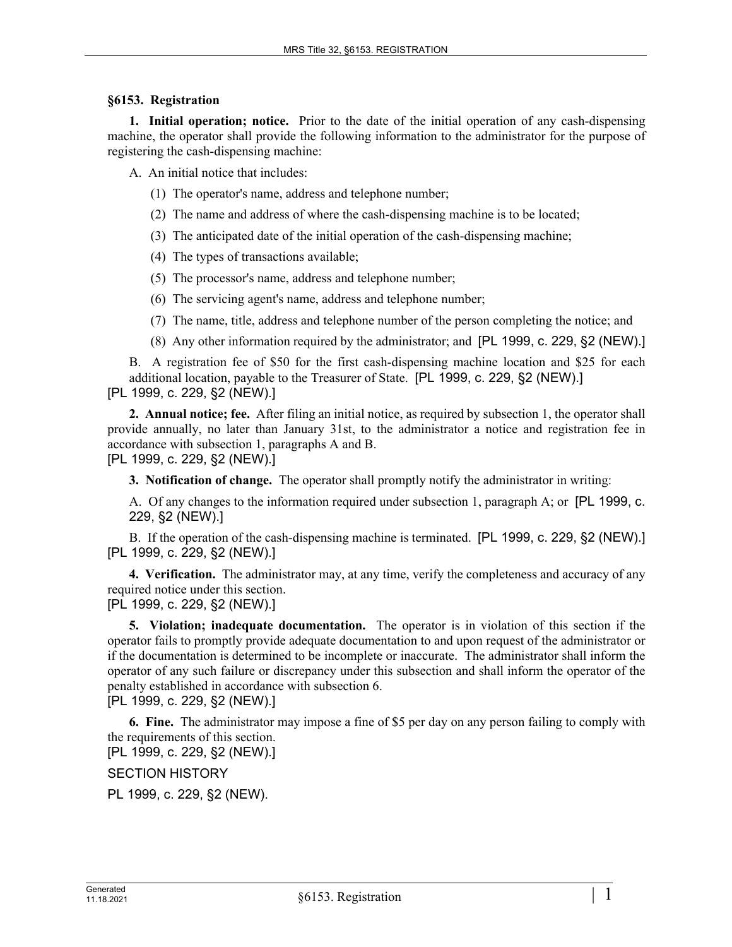## **§6153. Registration**

**1. Initial operation; notice.** Prior to the date of the initial operation of any cash-dispensing machine, the operator shall provide the following information to the administrator for the purpose of registering the cash-dispensing machine:

A. An initial notice that includes:

(1) The operator's name, address and telephone number;

(2) The name and address of where the cash-dispensing machine is to be located;

(3) The anticipated date of the initial operation of the cash-dispensing machine;

(4) The types of transactions available;

(5) The processor's name, address and telephone number;

(6) The servicing agent's name, address and telephone number;

(7) The name, title, address and telephone number of the person completing the notice; and

(8) Any other information required by the administrator; and [PL 1999, c. 229, §2 (NEW).]

B. A registration fee of \$50 for the first cash-dispensing machine location and \$25 for each additional location, payable to the Treasurer of State. [PL 1999, c. 229, §2 (NEW).] [PL 1999, c. 229, §2 (NEW).]

**2. Annual notice; fee.** After filing an initial notice, as required by subsection 1, the operator shall provide annually, no later than January 31st, to the administrator a notice and registration fee in accordance with subsection 1, paragraphs A and B.

[PL 1999, c. 229, §2 (NEW).]

**3. Notification of change.** The operator shall promptly notify the administrator in writing:

A. Of any changes to the information required under subsection 1, paragraph A; or [PL 1999, c. 229, §2 (NEW).]

B. If the operation of the cash-dispensing machine is terminated. [PL 1999, c. 229, §2 (NEW).] [PL 1999, c. 229, §2 (NEW).]

**4. Verification.** The administrator may, at any time, verify the completeness and accuracy of any required notice under this section.

[PL 1999, c. 229, §2 (NEW).]

**5. Violation; inadequate documentation.** The operator is in violation of this section if the operator fails to promptly provide adequate documentation to and upon request of the administrator or if the documentation is determined to be incomplete or inaccurate. The administrator shall inform the operator of any such failure or discrepancy under this subsection and shall inform the operator of the penalty established in accordance with subsection 6.

[PL 1999, c. 229, §2 (NEW).]

**6. Fine.** The administrator may impose a fine of \$5 per day on any person failing to comply with the requirements of this section.

[PL 1999, c. 229, §2 (NEW).]

SECTION HISTORY

PL 1999, c. 229, §2 (NEW).